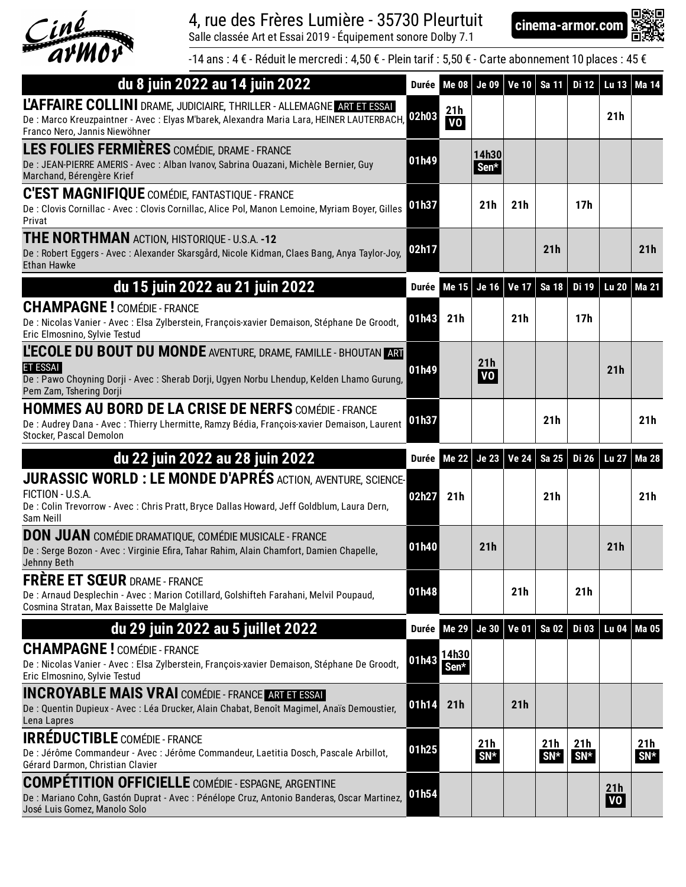

## 4, rue des Frères Lumière - 35730 Pleurtuit **cinema-armor.com**

Salle classée Art et Essai 2019 - Équipement sonore Dolby 7.1



-14 ans : 4 € - Réduit le mercredi : 4,50 € - Plein tarif : 5,50 € - Carte abonnement 10 places : 45 €

| du 8 juin 2022 au 14 juin 2022                                                                                                                                                                       | Durée l | <b>Me 08</b>     | <b>Je 09</b>                 | <b>Ve 10</b> | Sa 11           | Di 12           | <b>Lu 13</b> | Ma 14           |
|------------------------------------------------------------------------------------------------------------------------------------------------------------------------------------------------------|---------|------------------|------------------------------|--------------|-----------------|-----------------|--------------|-----------------|
| L'AFFAIRE COLLINI DRAME, JUDICIAIRE, THRILLER - ALLEMAGNE ART ET ESSAI<br>De : Marco Kreuzpaintner - Avec : Elyas M'barek, Alexandra Maria Lara, HEINER LAUTERBACH,<br>Franco Nero, Jannis Niewöhner | 02h03   | 21h<br><b>VO</b> |                              |              |                 |                 | 21h          |                 |
| LES FOLIES FERMIÈRES COMÉDIE, DRAME - FRANCE<br>De : JEAN-PIERRE AMERIS - Avec : Alban Ivanov, Sabrina Ouazani, Michèle Bernier, Guy<br>Marchand, Bérengère Krief                                    | 01h49   |                  | 14h30<br>Sen*                |              |                 |                 |              |                 |
| <b>C'EST MAGNIFIQUE</b> COMÉDIE, FANTASTIQUE - FRANCE<br>De : Clovis Cornillac - Avec : Clovis Cornillac, Alice Pol, Manon Lemoine, Myriam Boyer, Gilles<br>Privat                                   | 01h37   |                  | 21h                          | 21h          |                 | 17h             |              |                 |
| <b>THE NORTHMAN ACTION, HISTORIQUE - U.S.A. -12</b><br>De: Robert Eggers - Avec: Alexander Skarsgård, Nicole Kidman, Claes Bang, Anya Taylor-Joy,<br><b>Ethan Hawke</b>                              | 02h17   |                  |                              |              | 21 <sub>h</sub> |                 |              | 21h             |
| du 15 juin 2022 au 21 juin 2022                                                                                                                                                                      | Durée   | Me 15            | <b>Je 16</b>                 | <b>Ve 17</b> | Sa 18           | Di 19           | <b>Lu 20</b> | Ma 21           |
| <b>CHAMPAGNE!</b> COMÉDIE - FRANCE<br>De : Nicolas Vanier - Avec : Elsa Zylberstein, François-xavier Demaison, Stéphane De Groodt,<br>Eric Elmosnino, Sylvie Testud                                  | 01h43   | 21h              |                              | 21h          |                 | 17 <sub>h</sub> |              |                 |
| L'ECOLE DU BOUT DU MONDE AVENTURE, DRAME, FAMILLE - BHOUTAN ART<br>ET ESSAI<br>De: Pawo Choyning Dorji - Avec: Sherab Dorji, Ugyen Norbu Lhendup, Kelden Lhamo Gurung,<br>Pem Zam, Tshering Dorji    | 01h49   |                  | 21 <sub>h</sub><br><b>VO</b> |              |                 |                 | 21h          |                 |
| <b>HOMMES AU BORD DE LA CRISE DE NERFS COMÉDIE - FRANCE</b><br>De : Audrey Dana - Avec : Thierry Lhermitte, Ramzy Bédia, François-xavier Demaison, Laurent<br>Stocker, Pascal Demolon                | 01h37   |                  |                              |              | 21h             |                 |              | 21 <sub>h</sub> |
|                                                                                                                                                                                                      |         |                  |                              |              |                 |                 |              |                 |
| du 22 juin 2022 au 28 juin 2022                                                                                                                                                                      | Durée   | <b>Me 22</b>     | <b>Je 23</b>                 | <b>Ve 24</b> | Sa 25           | <b>Di 26</b>    | <b>Lu 27</b> | <b>Ma 28</b>    |
| JURASSIC WORLD : LE MONDE D'APRÉS ACTION, AVENTURE, SCIENCE-<br>FICTION - U.S.A.<br>De: Colin Trevorrow - Avec: Chris Pratt, Bryce Dallas Howard, Jeff Goldblum, Laura Dern,<br>Sam Neill            | 02h27   | 21h              |                              |              | 21h             |                 |              | 21h             |
| <b>DON JUAN</b> COMÉDIE DRAMATIQUE, COMÉDIE MUSICALE - FRANCE<br>De : Serge Bozon - Avec : Virginie Efira, Tahar Rahim, Alain Chamfort, Damien Chapelle,<br>Jehnny Beth                              | 01h40   |                  | 21h                          |              |                 |                 | 21h          |                 |
| <b>FRÈRE ET SŒUR DRAME - FRANCE</b><br>De: Arnaud Desplechin - Avec: Marion Cotillard, Golshifteh Farahani, Melvil Poupaud,<br>Cosmina Stratan, Max Baissette De Malglaive                           | 01h48   |                  |                              | 21h          |                 | 21 <sub>h</sub> |              |                 |
| du 29 juin 2022 au 5 juillet 2022                                                                                                                                                                    | Durée   | <b>Me 29</b>     | <b>Je 30</b>                 | <b>Ve 01</b> | Sa 02           | <b>Di 03</b>    | <b>Lu 04</b> | <b>Ma 05</b>    |
| <b>CHAMPAGNE!</b> COMÉDIE - FRANCE<br>De : Nicolas Vanier - Avec : Elsa Zylberstein, François-xavier Demaison, Stéphane De Groodt,<br>Eric Elmosnino, Sylvie Testud                                  | 01h43   | 14h30<br>Sen*    |                              |              |                 |                 |              |                 |
| <b>INCROYABLE MAIS VRAI</b> COMÉDIE - FRANCE ARTETESSAL                                                                                                                                              |         |                  |                              |              |                 |                 |              |                 |
| De : Quentin Dupieux - Avec : Léa Drucker, Alain Chabat, Benoît Magimel, Anaïs Demoustier,                                                                                                           | 01h14   | 21h              |                              | 21h          |                 |                 |              |                 |
| Lena Lapres<br><b>IRRÉDUCTIBLE</b> COMÉDIE - FRANCE<br>De : Jérôme Commandeur - Avec : Jérôme Commandeur, Laetitia Dosch, Pascale Arbillot,<br>Gérard Darmon, Christian Clavier                      | 01h25   |                  | 21h<br>$SN*$                 |              | 21h<br>$SN*$    | 21h<br>$SN*$    |              | 21h<br>$SN*$    |